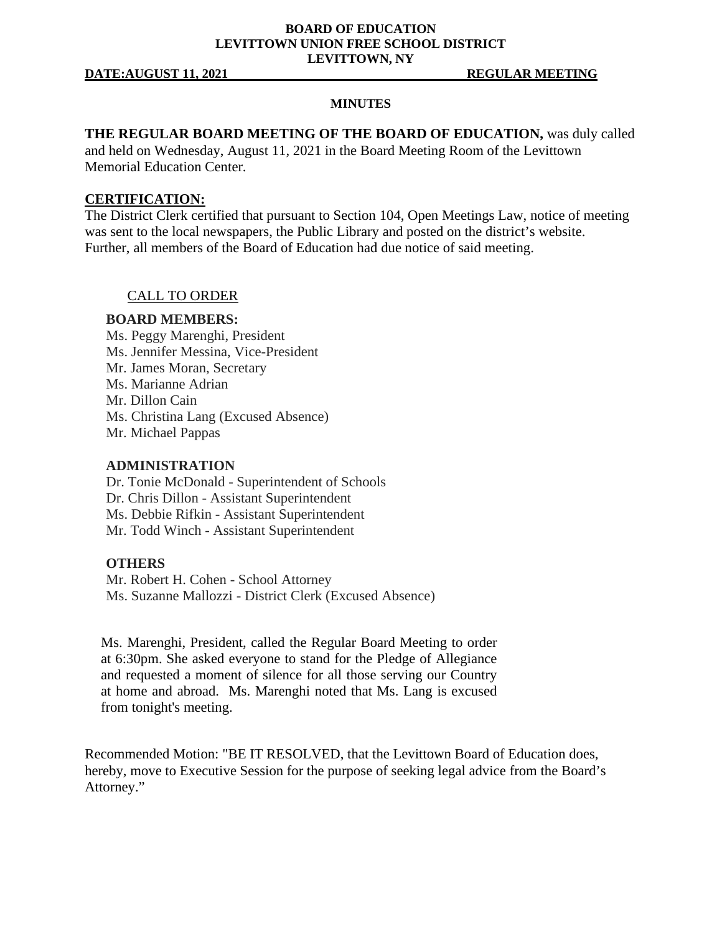### **BOARD OF EDUCATION LEVITTOWN UNION FREE SCHOOL DISTRICT LEVITTOWN, NY**

### **DATE:AUGUST 11, 2021 REGULAR MEETING**

### **MINUTES**

# **THE REGULAR BOARD MEETING OF THE BOARD OF EDUCATION,** was duly called

and held on Wednesday, August 11, 2021 in the Board Meeting Room of the Levittown Memorial Education Center.

### **CERTIFICATION:**

The District Clerk certified that pursuant to Section 104, Open Meetings Law, notice of meeting was sent to the local newspapers, the Public Library and posted on the district's website. Further, all members of the Board of Education had due notice of said meeting.

# CALL TO ORDER

### **BOARD MEMBERS:**

Ms. Peggy Marenghi, President Ms. Jennifer Messina, Vice-President Mr. James Moran, Secretary Ms. Marianne Adrian Mr. Dillon Cain Ms. Christina Lang (Excused Absence) Mr. Michael Pappas

### **ADMINISTRATION**

Dr. Tonie McDonald - Superintendent of Schools Dr. Chris Dillon - Assistant Superintendent Ms. Debbie Rifkin - Assistant Superintendent Mr. Todd Winch - Assistant Superintendent

### **OTHERS**

Mr. Robert H. Cohen - School Attorney Ms. Suzanne Mallozzi - District Clerk (Excused Absence)

Ms. Marenghi, President, called the Regular Board Meeting to order at 6:30pm. She asked everyone to stand for the Pledge of Allegiance and requested a moment of silence for all those serving our Country at home and abroad. Ms. Marenghi noted that Ms. Lang is excused from tonight's meeting.

Recommended Motion: "BE IT RESOLVED, that the Levittown Board of Education does, hereby, move to Executive Session for the purpose of seeking legal advice from the Board's Attorney."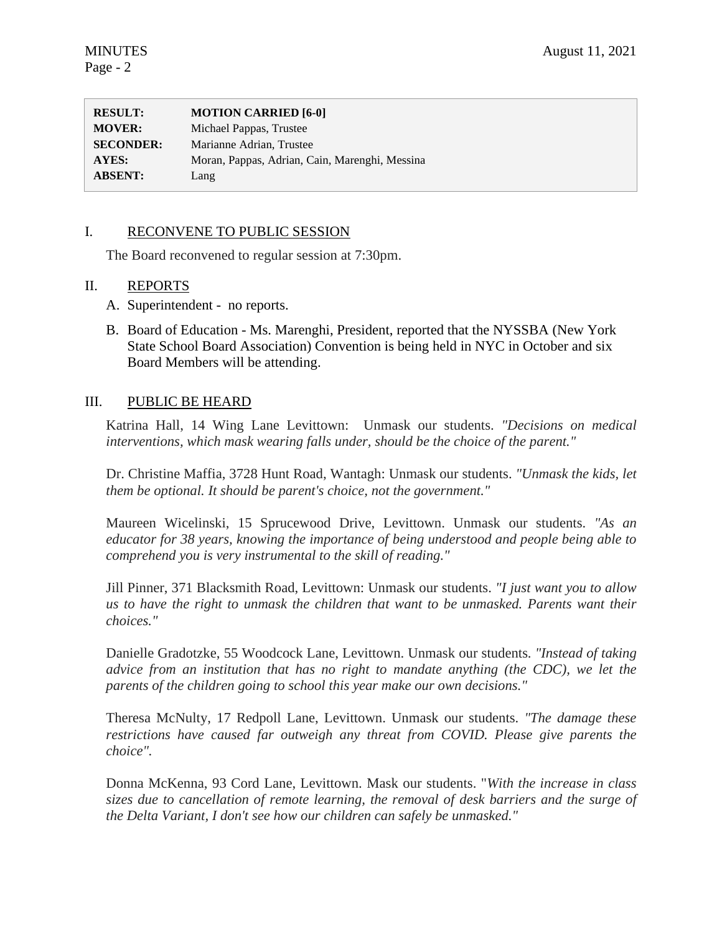| <b>RESULT:</b>   | <b>MOTION CARRIED [6-0]</b>                    |
|------------------|------------------------------------------------|
| <b>MOVER:</b>    | Michael Pappas, Trustee                        |
| <b>SECONDER:</b> | Marianne Adrian, Trustee                       |
| AYES:            | Moran, Pappas, Adrian, Cain, Marenghi, Messina |
| <b>ABSENT:</b>   | Lang                                           |

### I. RECONVENE TO PUBLIC SESSION

The Board reconvened to regular session at 7:30pm.

### II. REPORTS

- A. Superintendent no reports.
- B. Board of Education Ms. Marenghi, President, reported that the NYSSBA (New York State School Board Association) Convention is being held in NYC in October and six Board Members will be attending.

### III. PUBLIC BE HEARD

Katrina Hall, 14 Wing Lane Levittown: Unmask our students. *"Decisions on medical interventions, which mask wearing falls under, should be the choice of the parent."*

Dr. Christine Maffia, 3728 Hunt Road, Wantagh: Unmask our students. *"Unmask the kids, let them be optional. It should be parent's choice, not the government."*

Maureen Wicelinski, 15 Sprucewood Drive, Levittown. Unmask our students. *"As an educator for 38 years, knowing the importance of being understood and people being able to comprehend you is very instrumental to the skill of reading."*

Jill Pinner, 371 Blacksmith Road, Levittown: Unmask our students. *"I just want you to allow us to have the right to unmask the children that want to be unmasked. Parents want their choices."*

Danielle Gradotzke, 55 Woodcock Lane, Levittown. Unmask our students. *"Instead of taking advice from an institution that has no right to mandate anything (the CDC), we let the parents of the children going to school this year make our own decisions."*

Theresa McNulty, 17 Redpoll Lane, Levittown. Unmask our students. *"The damage these restrictions have caused far outweigh any threat from COVID. Please give parents the choice".* 

Donna McKenna, 93 Cord Lane, Levittown. Mask our students. "*With the increase in class sizes due to cancellation of remote learning, the removal of desk barriers and the surge of the Delta Variant, I don't see how our children can safely be unmasked."*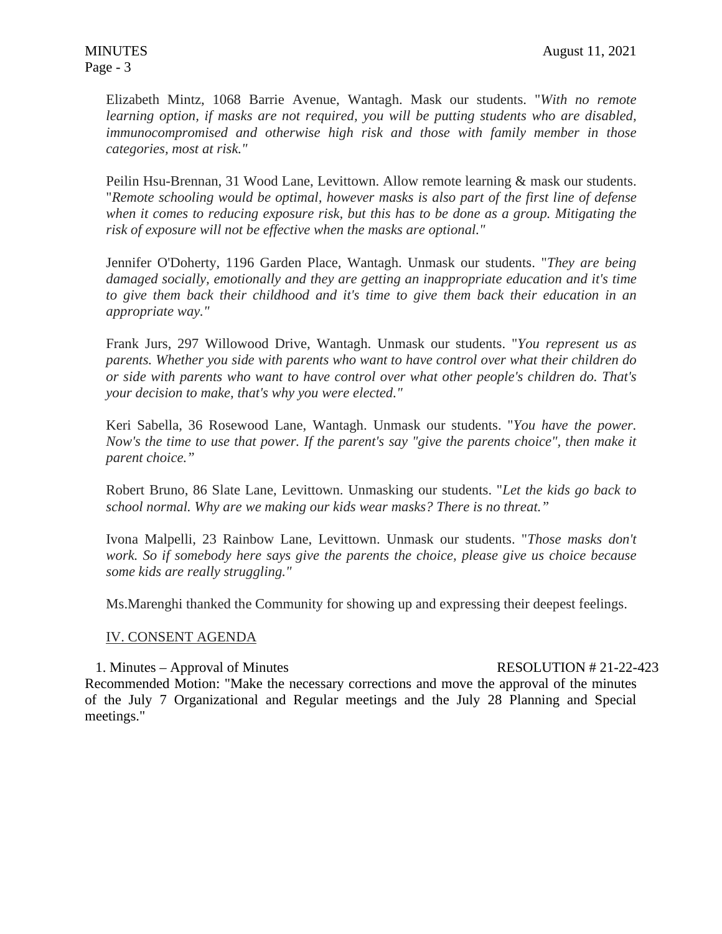Elizabeth Mintz, 1068 Barrie Avenue, Wantagh. Mask our students. "*With no remote learning option, if masks are not required, you will be putting students who are disabled, immunocompromised and otherwise high risk and those with family member in those categories, most at risk."*

Peilin Hsu-Brennan, 31 Wood Lane, Levittown. Allow remote learning & mask our students. "*Remote schooling would be optimal, however masks is also part of the first line of defense when it comes to reducing exposure risk, but this has to be done as a group. Mitigating the risk of exposure will not be effective when the masks are optional."*

Jennifer O'Doherty, 1196 Garden Place, Wantagh. Unmask our students. "*They are being damaged socially, emotionally and they are getting an inappropriate education and it's time to give them back their childhood and it's time to give them back their education in an appropriate way."*

Frank Jurs, 297 Willowood Drive, Wantagh. Unmask our students. "*You represent us as parents. Whether you side with parents who want to have control over what their children do or side with parents who want to have control over what other people's children do. That's your decision to make, that's why you were elected."*

Keri Sabella, 36 Rosewood Lane, Wantagh. Unmask our students. "*You have the power. Now's the time to use that power. If the parent's say "give the parents choice", then make it parent choice."*

Robert Bruno, 86 Slate Lane, Levittown. Unmasking our students. "*Let the kids go back to school normal. Why are we making our kids wear masks? There is no threat."*

Ivona Malpelli, 23 Rainbow Lane, Levittown. Unmask our students. "*Those masks don't work. So if somebody here says give the parents the choice, please give us choice because some kids are really struggling."*

Ms.Marenghi thanked the Community for showing up and expressing their deepest feelings.

# IV. CONSENT AGENDA

1. Minutes – Approval of Minutes **RESOLUTION # 21-22-423** Recommended Motion: "Make the necessary corrections and move the approval of the minutes of the July 7 Organizational and Regular meetings and the July 28 Planning and Special meetings."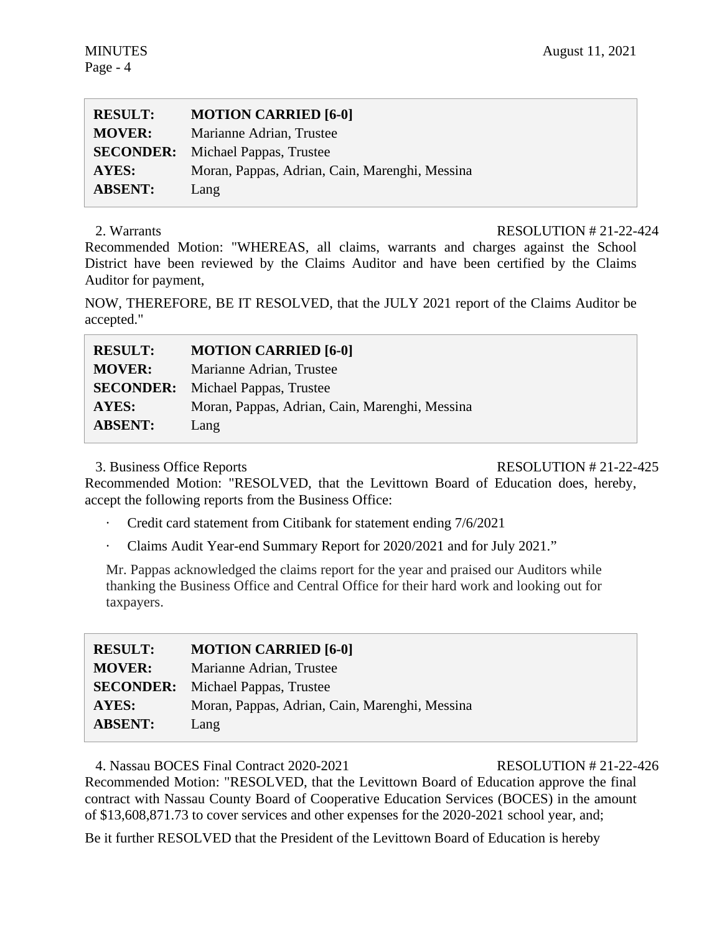| <b>RESULT:</b> | <b>MOTION CARRIED [6-0]</b>                    |
|----------------|------------------------------------------------|
| <b>MOVER:</b>  | Marianne Adrian, Trustee                       |
|                | <b>SECONDER:</b> Michael Pappas, Trustee       |
| AYES:          | Moran, Pappas, Adrian, Cain, Marenghi, Messina |
| <b>ABSENT:</b> | Lang                                           |

# 2. Warrants RESOLUTION # 21-22-424

Recommended Motion: "WHEREAS, all claims, warrants and charges against the School District have been reviewed by the Claims Auditor and have been certified by the Claims Auditor for payment,

NOW, THEREFORE, BE IT RESOLVED, that the JULY 2021 report of the Claims Auditor be accepted."

| <b>RESULT:</b>   | <b>MOTION CARRIED [6-0]</b>                    |
|------------------|------------------------------------------------|
| <b>MOVER:</b>    | Marianne Adrian, Trustee                       |
| <b>SECONDER:</b> | Michael Pappas, Trustee                        |
| <b>AYES:</b>     | Moran, Pappas, Adrian, Cain, Marenghi, Messina |
| <b>ABSENT:</b>   | Lang                                           |

# 3. Business Office Reports RESOLUTION # 21-22-425

Recommended Motion: "RESOLVED, that the Levittown Board of Education does, hereby, accept the following reports from the Business Office:

- Credit card statement from Citibank for statement ending 7/6/2021
- · Claims Audit Year-end Summary Report for 2020/2021 and for July 2021."

Mr. Pappas acknowledged the claims report for the year and praised our Auditors while thanking the Business Office and Central Office for their hard work and looking out for taxpayers.

| <b>RESULT:</b> | <b>MOTION CARRIED [6-0]</b>                    |
|----------------|------------------------------------------------|
| <b>MOVER:</b>  | Marianne Adrian, Trustee                       |
|                | <b>SECONDER:</b> Michael Pappas, Trustee       |
| <b>AYES:</b>   | Moran, Pappas, Adrian, Cain, Marenghi, Messina |
| <b>ABSENT:</b> | Lang                                           |

4. Nassau BOCES Final Contract 2020-2021 RESOLUTION # 21-22-426

Recommended Motion: "RESOLVED, that the Levittown Board of Education approve the final contract with Nassau County Board of Cooperative Education Services (BOCES) in the amount of \$13,608,871.73 to cover services and other expenses for the 2020-2021 school year, and;

Be it further RESOLVED that the President of the Levittown Board of Education is hereby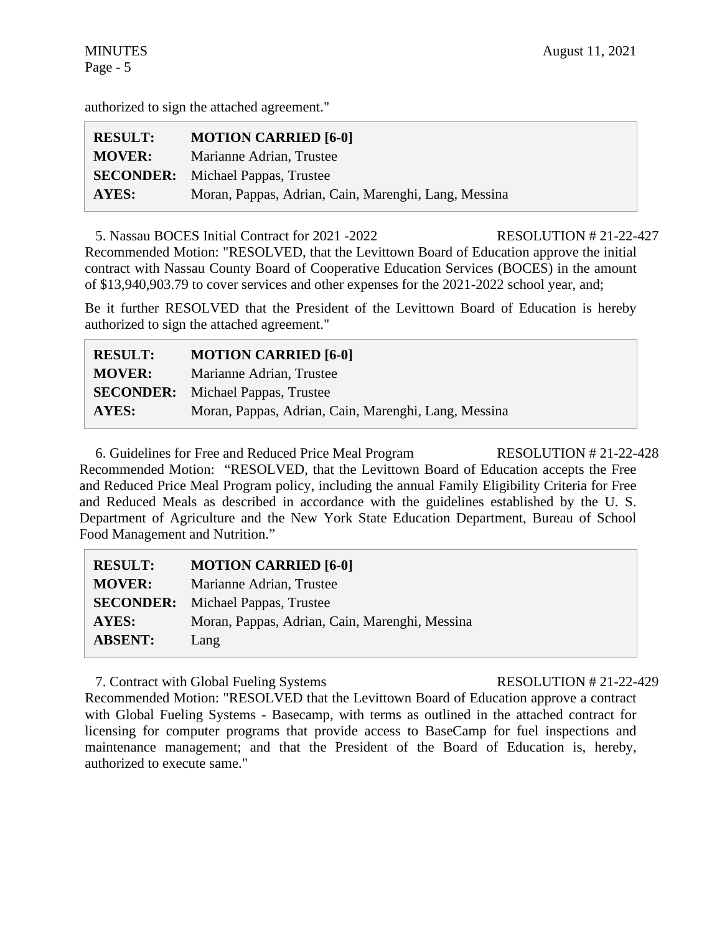authorized to sign the attached agreement."

| <b>RESULT:</b> | <b>MOTION CARRIED [6-0]</b>                          |
|----------------|------------------------------------------------------|
| <b>MOVER:</b>  | Marianne Adrian, Trustee                             |
|                | <b>SECONDER:</b> Michael Pappas, Trustee             |
| AYES:          | Moran, Pappas, Adrian, Cain, Marenghi, Lang, Messina |

5. Nassau BOCES Initial Contract for 2021 -2022 RESOLUTION # 21-22-427 Recommended Motion: "RESOLVED, that the Levittown Board of Education approve the initial contract with Nassau County Board of Cooperative Education Services (BOCES) in the amount of \$13,940,903.79 to cover services and other expenses for the 2021-2022 school year, and;

Be it further RESOLVED that the President of the Levittown Board of Education is hereby authorized to sign the attached agreement."

| <b>RESULT:</b> | <b>MOTION CARRIED [6-0]</b>                          |
|----------------|------------------------------------------------------|
| <b>MOVER:</b>  | Marianne Adrian, Trustee                             |
|                | <b>SECONDER:</b> Michael Pappas, Trustee             |
| AYES:          | Moran, Pappas, Adrian, Cain, Marenghi, Lang, Messina |

6. Guidelines for Free and Reduced Price Meal Program RESOLUTION # 21-22-428 Recommended Motion: "RESOLVED, that the Levittown Board of Education accepts the Free and Reduced Price Meal Program policy, including the annual Family Eligibility Criteria for Free and Reduced Meals as described in accordance with the guidelines established by the U. S. Department of Agriculture and the New York State Education Department, Bureau of School Food Management and Nutrition."

| <b>RESULT:</b> | <b>MOTION CARRIED [6-0]</b>                    |
|----------------|------------------------------------------------|
| <b>MOVER:</b>  | Marianne Adrian, Trustee                       |
|                | <b>SECONDER:</b> Michael Pappas, Trustee       |
| <b>AYES:</b>   | Moran, Pappas, Adrian, Cain, Marenghi, Messina |
| <b>ABSENT:</b> | Lang                                           |
|                |                                                |

7. Contract with Global Fueling Systems RESOLUTION # 21-22-429

Recommended Motion: "RESOLVED that the Levittown Board of Education approve a contract with Global Fueling Systems - Basecamp, with terms as outlined in the attached contract for licensing for computer programs that provide access to BaseCamp for fuel inspections and maintenance management; and that the President of the Board of Education is, hereby, authorized to execute same."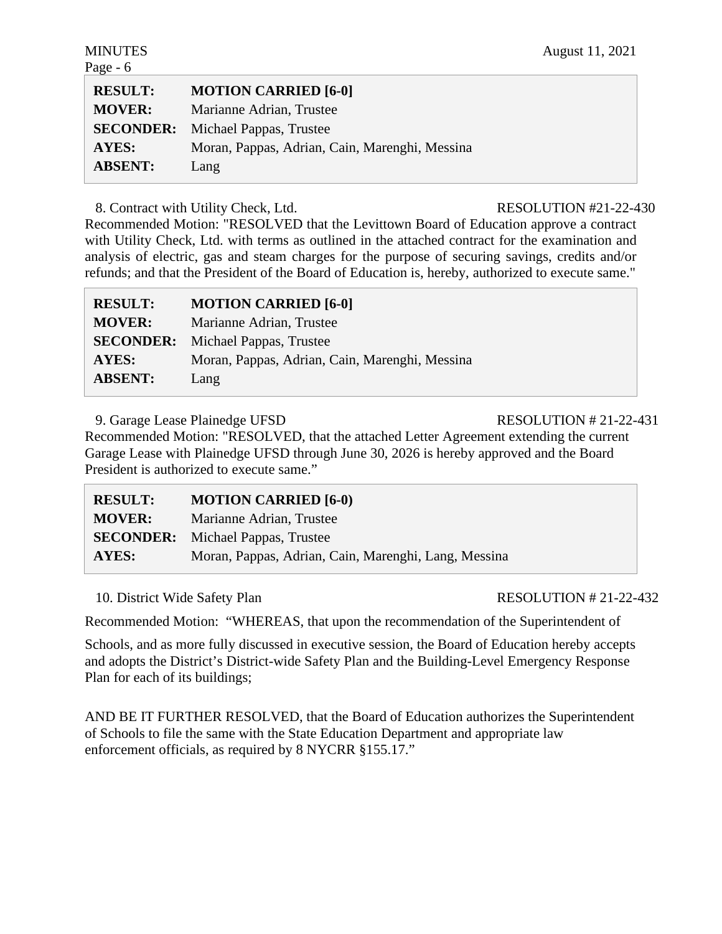| <b>RESULT:</b>   | <b>MOTION CARRIED [6-0]</b>                    |
|------------------|------------------------------------------------|
| <b>MOVER:</b>    | Marianne Adrian, Trustee                       |
| <b>SECONDER:</b> | Michael Pappas, Trustee                        |
| <b>AYES:</b>     | Moran, Pappas, Adrian, Cain, Marenghi, Messina |
| <b>ABSENT:</b>   | Lang                                           |

8. Contract with Utility Check, Ltd. RESOLUTION #21-22-430

Recommended Motion: "RESOLVED that the Levittown Board of Education approve a contract with Utility Check, Ltd. with terms as outlined in the attached contract for the examination and analysis of electric, gas and steam charges for the purpose of securing savings, credits and/or refunds; and that the President of the Board of Education is, hereby, authorized to execute same."

| <b>RESULT:</b>   | <b>MOTION CARRIED [6-0]</b>                    |
|------------------|------------------------------------------------|
| <b>MOVER:</b>    | Marianne Adrian, Trustee                       |
| <b>SECONDER:</b> | Michael Pappas, Trustee                        |
| AYES:            | Moran, Pappas, Adrian, Cain, Marenghi, Messina |
| <b>ABSENT:</b>   | Lang                                           |

9. Garage Lease Plainedge UFSD RESOLUTION # 21-22-431

Recommended Motion: "RESOLVED, that the attached Letter Agreement extending the current Garage Lease with Plainedge UFSD through June 30, 2026 is hereby approved and the Board President is authorized to execute same."

| <b>RESULT:</b> | <b>MOTION CARRIED [6-0)</b>                          |
|----------------|------------------------------------------------------|
| <b>MOVER:</b>  | Marianne Adrian, Trustee                             |
|                | <b>SECONDER:</b> Michael Pappas, Trustee             |
| AYES:          | Moran, Pappas, Adrian, Cain, Marenghi, Lang, Messina |

10. District Wide Safety Plan RESOLUTION # 21-22-432

Recommended Motion: "WHEREAS, that upon the recommendation of the Superintendent of

Schools, and as more fully discussed in executive session, the Board of Education hereby accepts and adopts the District's District-wide Safety Plan and the Building-Level Emergency Response Plan for each of its buildings;

AND BE IT FURTHER RESOLVED, that the Board of Education authorizes the Superintendent of Schools to file the same with the State Education Department and appropriate law enforcement officials, as required by 8 NYCRR §155.17."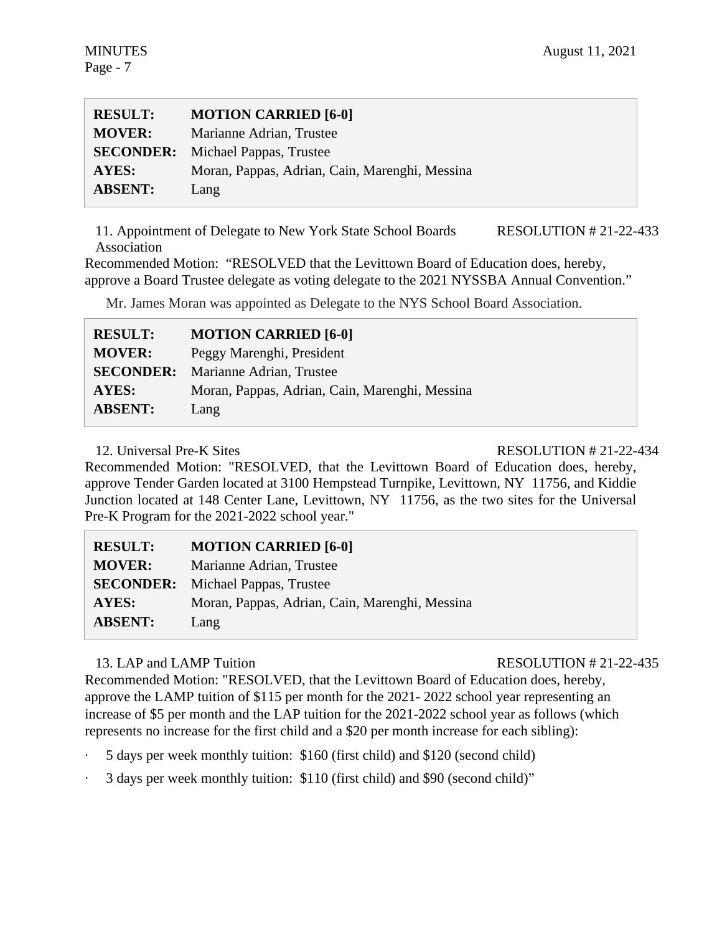| <b>RESULT:</b> | <b>MOTION CARRIED [6-0]</b>                    |
|----------------|------------------------------------------------|
| <b>MOVER:</b>  | Marianne Adrian, Trustee                       |
|                | <b>SECONDER:</b> Michael Pappas, Trustee       |
| AYES:          | Moran, Pappas, Adrian, Cain, Marenghi, Messina |
| <b>ABSENT:</b> | Lang                                           |

11. Appointment of Delegate to New York State School Boards Association RESOLUTION # 21-22-433

Recommended Motion: "RESOLVED that the Levittown Board of Education does, hereby, approve a Board Trustee delegate as voting delegate to the 2021 NYSSBA Annual Convention."

Mr. James Moran was appointed as Delegate to the NYS School Board Association.

| <b>RESULT:</b>   | <b>MOTION CARRIED [6-0]</b>                    |
|------------------|------------------------------------------------|
| <b>MOVER:</b>    | Peggy Marenghi, President                      |
| <b>SECONDER:</b> | Marianne Adrian, Trustee                       |
| AYES:            | Moran, Pappas, Adrian, Cain, Marenghi, Messina |
| <b>ABSENT:</b>   | Lang                                           |

# 12. Universal Pre-K Sites **RESOLUTION # 21-22-434**

Recommended Motion: "RESOLVED, that the Levittown Board of Education does, hereby, approve Tender Garden located at 3100 Hempstead Turnpike, Levittown, NY 11756, and Kiddie Junction located at 148 Center Lane, Levittown, NY 11756, as the two sites for the Universal Pre-K Program for the 2021-2022 school year."

| <b>RESULT:</b>   | <b>MOTION CARRIED [6-0]</b>                    |
|------------------|------------------------------------------------|
| <b>MOVER:</b>    | Marianne Adrian, Trustee                       |
| <b>SECONDER:</b> | Michael Pappas, Trustee                        |
| <b>AYES:</b>     | Moran, Pappas, Adrian, Cain, Marenghi, Messina |
| <b>ABSENT:</b>   | Lang                                           |

# 13. LAP and LAMP Tuition **RESOLUTION # 21-22-435**

Recommended Motion: "RESOLVED, that the Levittown Board of Education does, hereby, approve the LAMP tuition of \$115 per month for the 2021- 2022 school year representing an increase of \$5 per month and the LAP tuition for the 2021-2022 school year as follows (which represents no increase for the first child and a \$20 per month increase for each sibling):

- · 5 days per week monthly tuition: \$160 (first child) and \$120 (second child)
- · 3 days per week monthly tuition: \$110 (first child) and \$90 (second child)"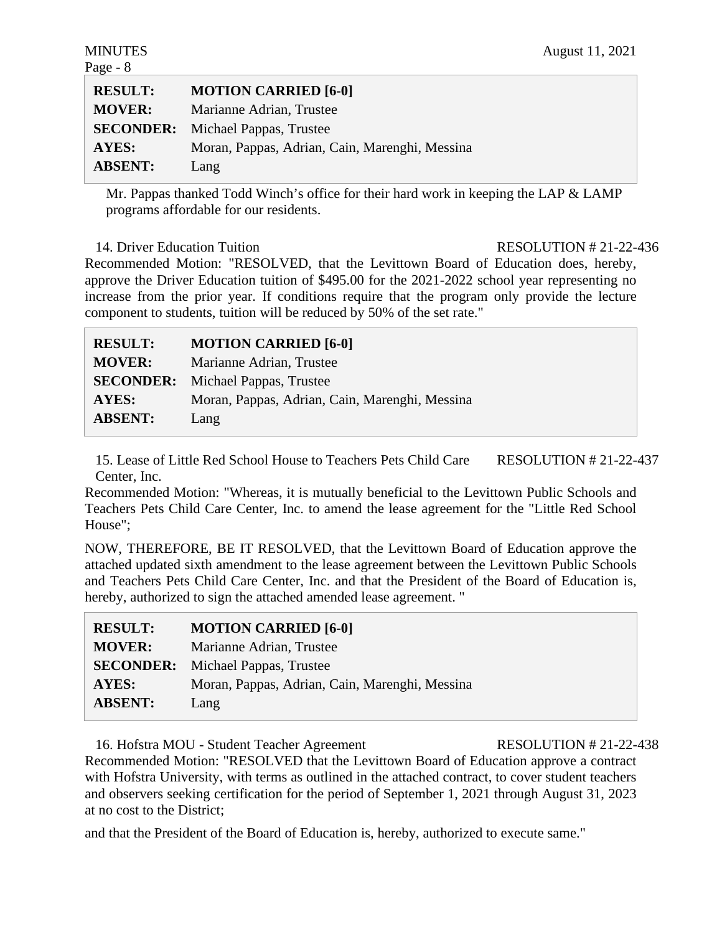| <b>MOTION CARRIED [6-0]</b>                    |
|------------------------------------------------|
| Marianne Adrian, Trustee                       |
| <b>SECONDER:</b> Michael Pappas, Trustee       |
| Moran, Pappas, Adrian, Cain, Marenghi, Messina |
| Lang                                           |
|                                                |

Mr. Pappas thanked Todd Winch's office for their hard work in keeping the LAP & LAMP programs affordable for our residents.

14. Driver Education Tuition **RESOLUTION # 21-22-436** 

Recommended Motion: "RESOLVED, that the Levittown Board of Education does, hereby, approve the Driver Education tuition of \$495.00 for the 2021-2022 school year representing no increase from the prior year. If conditions require that the program only provide the lecture component to students, tuition will be reduced by 50% of the set rate."

| <b>RESULT:</b> | <b>MOTION CARRIED [6-0]</b>                    |
|----------------|------------------------------------------------|
| <b>MOVER:</b>  | Marianne Adrian, Trustee                       |
|                | <b>SECONDER:</b> Michael Pappas, Trustee       |
| AYES:          | Moran, Pappas, Adrian, Cain, Marenghi, Messina |
| <b>ABSENT:</b> | Lang                                           |

15. Lease of Little Red School House to Teachers Pets Child Care Center, Inc. RESOLUTION # 21-22-437

Recommended Motion: "Whereas, it is mutually beneficial to the Levittown Public Schools and Teachers Pets Child Care Center, Inc. to amend the lease agreement for the "Little Red School House";

NOW, THEREFORE, BE IT RESOLVED, that the Levittown Board of Education approve the attached updated sixth amendment to the lease agreement between the Levittown Public Schools and Teachers Pets Child Care Center, Inc. and that the President of the Board of Education is, hereby, authorized to sign the attached amended lease agreement. "

| <b>RESULT:</b> | <b>MOTION CARRIED [6-0]</b>                    |
|----------------|------------------------------------------------|
| <b>MOVER:</b>  | Marianne Adrian, Trustee                       |
|                | <b>SECONDER:</b> Michael Pappas, Trustee       |
| AYES:          | Moran, Pappas, Adrian, Cain, Marenghi, Messina |
| <b>ABSENT:</b> | Lang                                           |

16. Hofstra MOU - Student Teacher Agreement RESOLUTION # 21-22-438 Recommended Motion: "RESOLVED that the Levittown Board of Education approve a contract with Hofstra University, with terms as outlined in the attached contract, to cover student teachers and observers seeking certification for the period of September 1, 2021 through August 31, 2023 at no cost to the District;

and that the President of the Board of Education is, hereby, authorized to execute same."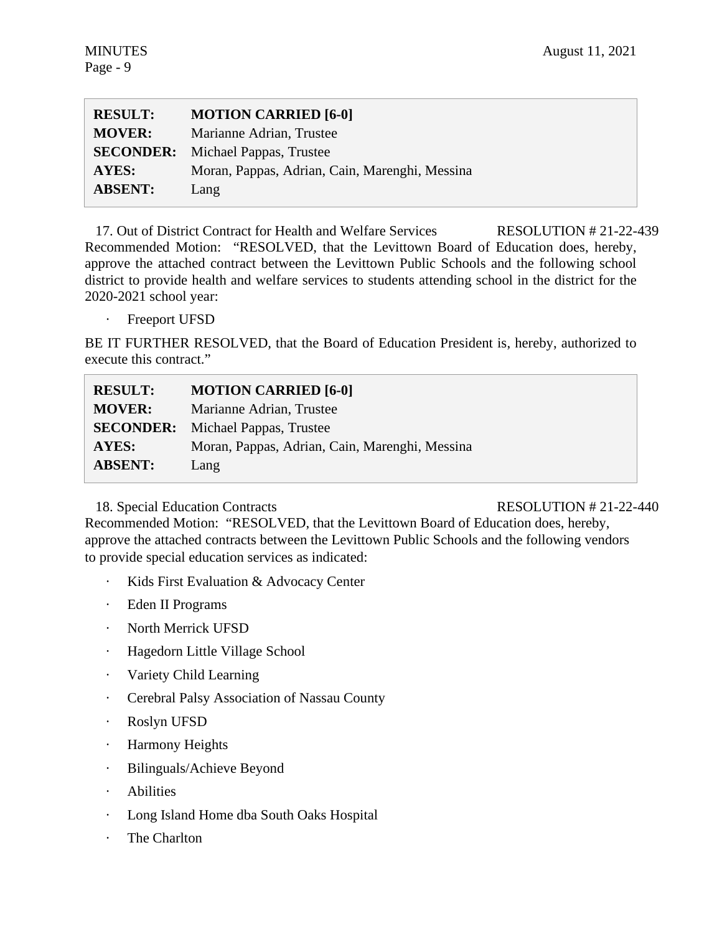| <b>RESULT:</b> | <b>MOTION CARRIED [6-0]</b>                    |
|----------------|------------------------------------------------|
| <b>MOVER:</b>  | Marianne Adrian, Trustee                       |
|                | <b>SECONDER:</b> Michael Pappas, Trustee       |
| <b>AYES:</b>   | Moran, Pappas, Adrian, Cain, Marenghi, Messina |
| <b>ABSENT:</b> | Lang                                           |

17. Out of District Contract for Health and Welfare Services RESOLUTION # 21-22-439 Recommended Motion: "RESOLVED, that the Levittown Board of Education does, hereby, approve the attached contract between the Levittown Public Schools and the following school district to provide health and welfare services to students attending school in the district for the 2020-2021 school year:

Freeport UFSD

BE IT FURTHER RESOLVED, that the Board of Education President is, hereby, authorized to execute this contract."

| <b>RESULT:</b>   | <b>MOTION CARRIED [6-0]</b>                    |
|------------------|------------------------------------------------|
| <b>MOVER:</b>    | Marianne Adrian, Trustee                       |
| <b>SECONDER:</b> | Michael Pappas, Trustee                        |
| AYES:            | Moran, Pappas, Adrian, Cain, Marenghi, Messina |
| <b>ABSENT:</b>   | Lang                                           |

18. Special Education Contracts RESOLUTION # 21-22-440

Recommended Motion: "RESOLVED, that the Levittown Board of Education does, hereby, approve the attached contracts between the Levittown Public Schools and the following vendors to provide special education services as indicated:

- · Kids First Evaluation & Advocacy Center
- · Eden II Programs
- · North Merrick UFSD
- · Hagedorn Little Village School
- · Variety Child Learning
- · Cerebral Palsy Association of Nassau County
- · Roslyn UFSD
- · Harmony Heights
- · Bilinguals/Achieve Beyond
- · Abilities
- · Long Island Home dba South Oaks Hospital
- The Charlton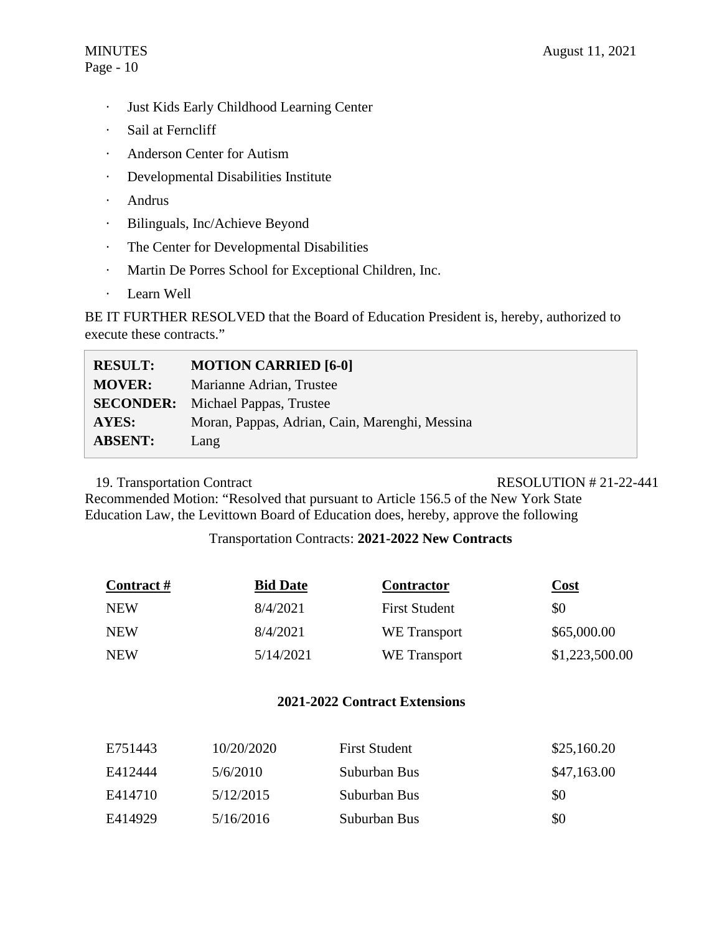# Page - 10

- · Just Kids Early Childhood Learning Center
- · Sail at Ferncliff
- · Anderson Center for Autism
- · Developmental Disabilities Institute
- · Andrus
- · Bilinguals, Inc/Achieve Beyond
- · The Center for Developmental Disabilities
- · Martin De Porres School for Exceptional Children, Inc.
- · Learn Well

BE IT FURTHER RESOLVED that the Board of Education President is, hereby, authorized to execute these contracts."

| <b>RESULT:</b> | <b>MOTION CARRIED [6-0]</b>                    |
|----------------|------------------------------------------------|
| <b>MOVER:</b>  | Marianne Adrian, Trustee                       |
|                | <b>SECONDER:</b> Michael Pappas, Trustee       |
| <b>AYES:</b>   | Moran, Pappas, Adrian, Cain, Marenghi, Messina |
| <b>ABSENT:</b> | Lang                                           |

# 19. Transportation Contract RESOLUTION # 21-22-441

Recommended Motion: "Resolved that pursuant to Article 156.5 of the New York State Education Law, the Levittown Board of Education does, hereby, approve the following

# Transportation Contracts: **2021-2022 New Contracts**

| Contract # | <b>Bid Date</b> | <b>Contractor</b>    | Cost           |
|------------|-----------------|----------------------|----------------|
| <b>NEW</b> | 8/4/2021        | <b>First Student</b> | \$0            |
| <b>NEW</b> | 8/4/2021        | WE Transport         | \$65,000.00    |
| <b>NEW</b> | 5/14/2021       | WE Transport         | \$1,223,500.00 |

# **2021-2022 Contract Extensions**

| E751443 | 10/20/2020 | <b>First Student</b> | \$25,160.20 |
|---------|------------|----------------------|-------------|
| E412444 | 5/6/2010   | Suburban Bus         | \$47,163.00 |
| E414710 | 5/12/2015  | Suburban Bus         | \$0         |
| E414929 | 5/16/2016  | Suburban Bus         | \$0         |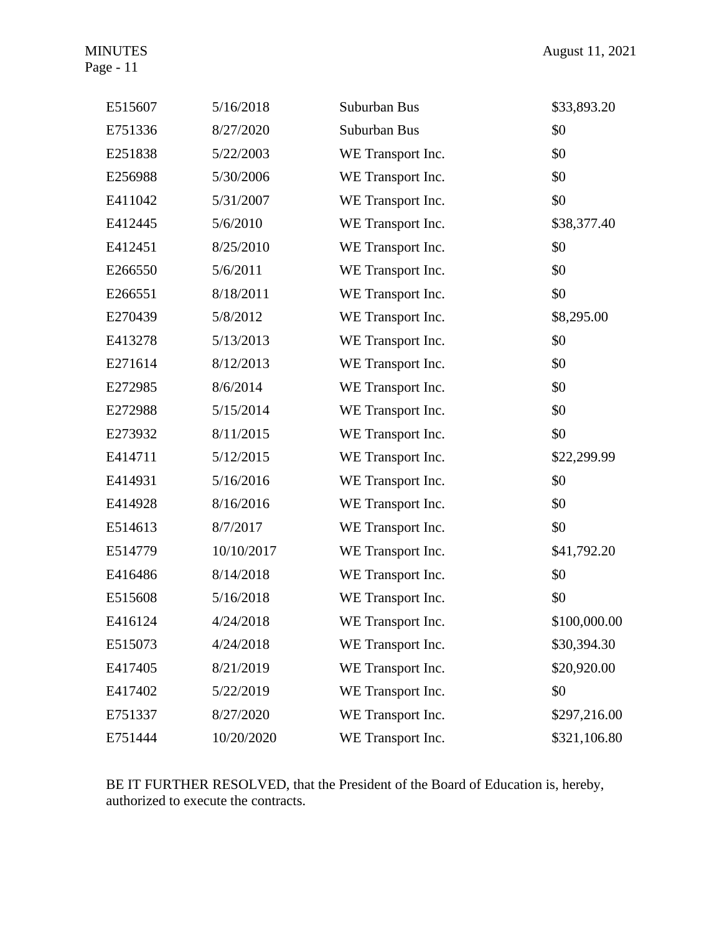Page - 11

| E515607 | 5/16/2018  | Suburban Bus      | \$33,893.20  |
|---------|------------|-------------------|--------------|
| E751336 | 8/27/2020  | Suburban Bus      | \$0          |
| E251838 | 5/22/2003  | WE Transport Inc. | \$0          |
| E256988 | 5/30/2006  | WE Transport Inc. | \$0          |
| E411042 | 5/31/2007  | WE Transport Inc. | \$0          |
| E412445 | 5/6/2010   | WE Transport Inc. | \$38,377.40  |
| E412451 | 8/25/2010  | WE Transport Inc. | \$0          |
| E266550 | 5/6/2011   | WE Transport Inc. | \$0          |
| E266551 | 8/18/2011  | WE Transport Inc. | \$0          |
| E270439 | 5/8/2012   | WE Transport Inc. | \$8,295.00   |
| E413278 | 5/13/2013  | WE Transport Inc. | \$0          |
| E271614 | 8/12/2013  | WE Transport Inc. | \$0          |
| E272985 | 8/6/2014   | WE Transport Inc. | \$0          |
| E272988 | 5/15/2014  | WE Transport Inc. | \$0          |
| E273932 | 8/11/2015  | WE Transport Inc. | \$0          |
| E414711 | 5/12/2015  | WE Transport Inc. | \$22,299.99  |
| E414931 | 5/16/2016  | WE Transport Inc. | \$0          |
| E414928 | 8/16/2016  | WE Transport Inc. | \$0          |
| E514613 | 8/7/2017   | WE Transport Inc. | \$0          |
| E514779 | 10/10/2017 | WE Transport Inc. | \$41,792.20  |
| E416486 | 8/14/2018  | WE Transport Inc. | \$0          |
| E515608 | 5/16/2018  | WE Transport Inc. | \$0          |
| E416124 | 4/24/2018  | WE Transport Inc. | \$100,000.00 |
| E515073 | 4/24/2018  | WE Transport Inc. | \$30,394.30  |
| E417405 | 8/21/2019  | WE Transport Inc. | \$20,920.00  |
| E417402 | 5/22/2019  | WE Transport Inc. | \$0          |
| E751337 | 8/27/2020  | WE Transport Inc. | \$297,216.00 |
| E751444 | 10/20/2020 | WE Transport Inc. | \$321,106.80 |

BE IT FURTHER RESOLVED, that the President of the Board of Education is, hereby, authorized to execute the contracts.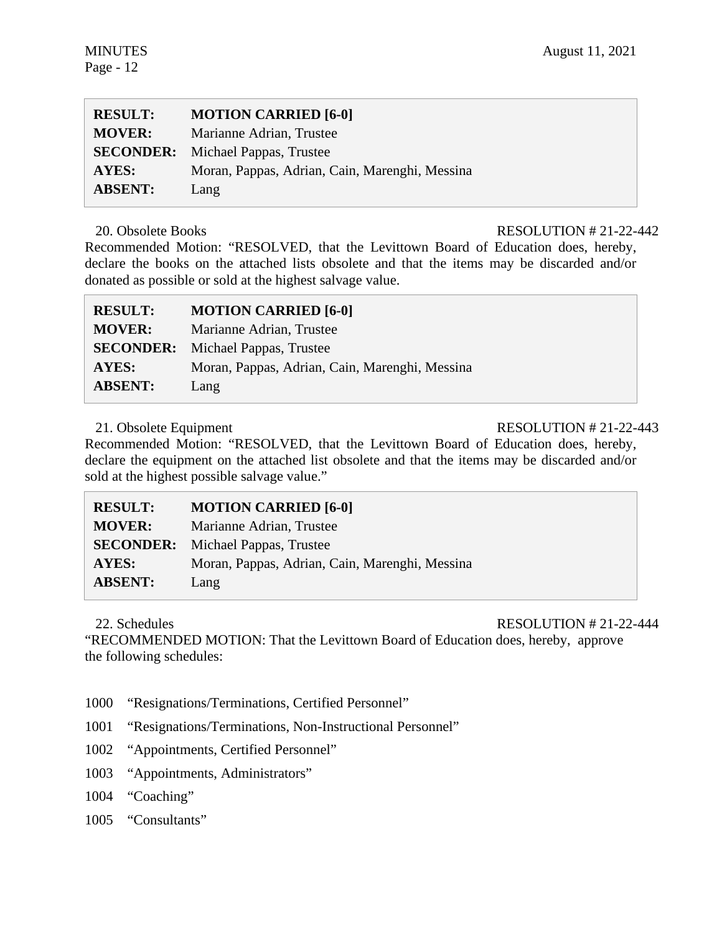| <b>RESULT:</b> | <b>MOTION CARRIED [6-0]</b>                    |
|----------------|------------------------------------------------|
| <b>MOVER:</b>  | Marianne Adrian, Trustee                       |
|                | <b>SECONDER:</b> Michael Pappas, Trustee       |
| <b>AYES:</b>   | Moran, Pappas, Adrian, Cain, Marenghi, Messina |
| <b>ABSENT:</b> | Lang                                           |

# 20. Obsolete Books RESOLUTION # 21-22-442

Recommended Motion: "RESOLVED, that the Levittown Board of Education does, hereby, declare the books on the attached lists obsolete and that the items may be discarded and/or donated as possible or sold at the highest salvage value.

| <b>RESULT:</b>   | <b>MOTION CARRIED [6-0]</b>                    |
|------------------|------------------------------------------------|
| <b>MOVER:</b>    | Marianne Adrian, Trustee                       |
| <b>SECONDER:</b> | Michael Pappas, Trustee                        |
| AYES:            | Moran, Pappas, Adrian, Cain, Marenghi, Messina |
| <b>ABSENT:</b>   | Lang                                           |

21. Obsolete Equipment RESOLUTION # 21-22-443

Recommended Motion: "RESOLVED, that the Levittown Board of Education does, hereby, declare the equipment on the attached list obsolete and that the items may be discarded and/or sold at the highest possible salvage value."

| <b>RESULT:</b>   | <b>MOTION CARRIED [6-0]</b>                    |
|------------------|------------------------------------------------|
| <b>MOVER:</b>    | Marianne Adrian, Trustee                       |
| <b>SECONDER:</b> | Michael Pappas, Trustee                        |
| <b>AYES:</b>     | Moran, Pappas, Adrian, Cain, Marenghi, Messina |
| <b>ABSENT:</b>   | Lang                                           |

22. Schedules RESOLUTION # 21-22-444

"RECOMMENDED MOTION: That the Levittown Board of Education does, hereby, approve the following schedules:

- 1000 "Resignations/Terminations, Certified Personnel"
- 1001 "Resignations/Terminations, Non-Instructional Personnel"
- 1002 "Appointments, Certified Personnel"
- 1003 "Appointments, Administrators"
- 1004 "Coaching"
- 1005 "Consultants"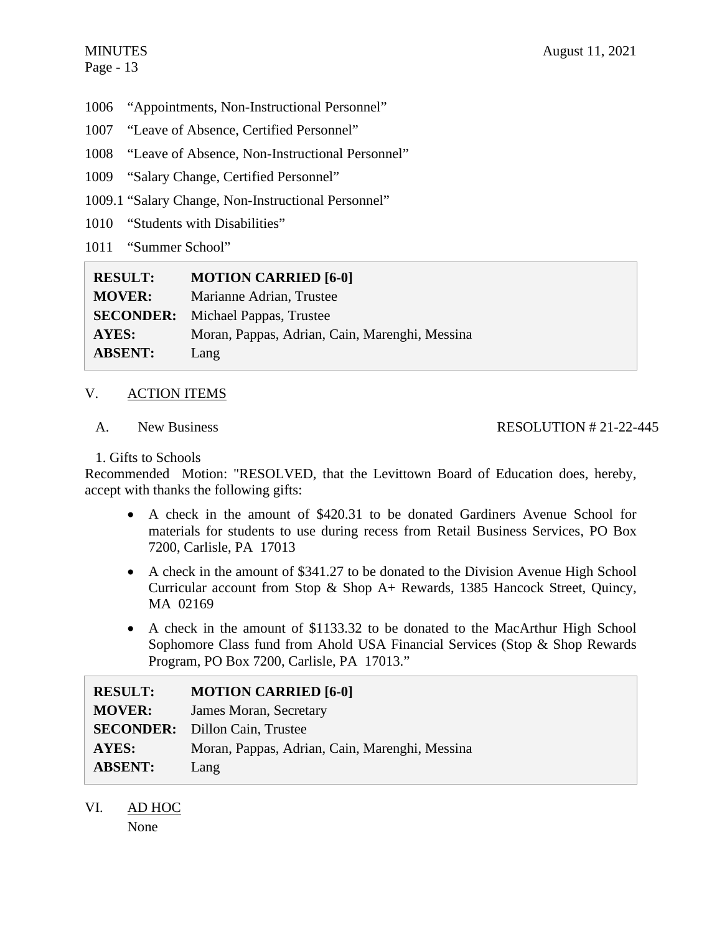- 1006 "Appointments, Non-Instructional Personnel"
- 1007 "Leave of Absence, Certified Personnel"
- 1008 "Leave of Absence, Non-Instructional Personnel"
- 1009 "Salary Change, Certified Personnel"
- 1009.1 "Salary Change, Non-Instructional Personnel"
- 1010 "Students with Disabilities"
- 1011 "Summer School"

| <b>RESULT:</b>   | <b>MOTION CARRIED [6-0]</b>                    |
|------------------|------------------------------------------------|
| <b>MOVER:</b>    | Marianne Adrian, Trustee                       |
| <b>SECONDER:</b> | Michael Pappas, Trustee                        |
| AYES:            | Moran, Pappas, Adrian, Cain, Marenghi, Messina |
| <b>ABSENT:</b>   | Lang                                           |

# V. ACTION ITEMS

A. New Business

# RESOLUTION # 21-22-445

# 1. Gifts to Schools

Recommended Motion: "RESOLVED, that the Levittown Board of Education does, hereby, accept with thanks the following gifts:

- A check in the amount of \$420.31 to be donated Gardiners Avenue School for materials for students to use during recess from Retail Business Services, PO Box 7200, Carlisle, PA 17013
- A check in the amount of \$341.27 to be donated to the Division Avenue High School Curricular account from Stop & Shop A+ Rewards, 1385 Hancock Street, Quincy, MA 02169
- A check in the amount of \$1133.32 to be donated to the MacArthur High School Sophomore Class fund from Ahold USA Financial Services (Stop & Shop Rewards Program, PO Box 7200, Carlisle, PA 17013."

| <b>RESULT:</b> | <b>MOTION CARRIED [6-0]</b>                    |
|----------------|------------------------------------------------|
| <b>MOVER:</b>  | James Moran, Secretary                         |
|                | <b>SECONDER:</b> Dillon Cain, Trustee          |
| AYES:          | Moran, Pappas, Adrian, Cain, Marenghi, Messina |
| <b>ABSENT:</b> | Lang                                           |

VI. AD HOC None